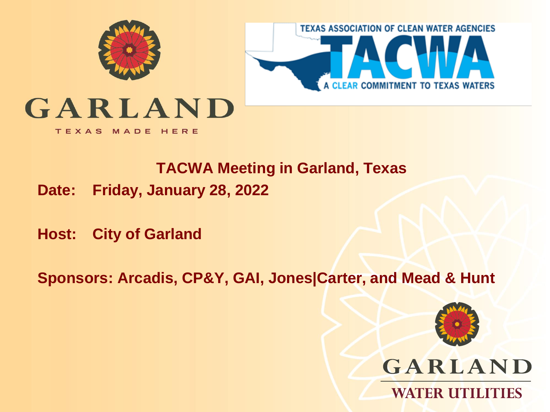



## GARLAND

TEXAS MADE HERE

#### **TACWA Meeting in Garland, Texas**

**Date: Friday, January 28, 2022**

**Host: City of Garland** 

**Sponsors: Arcadis, CP&Y, GAI, Jones|Carter, and Mead & Hunt**

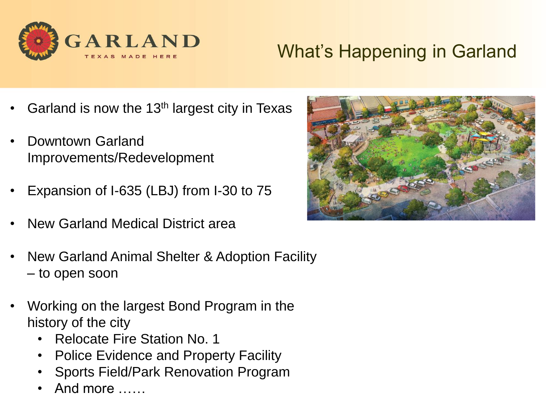

#### What's Happening in Garland

- Garland is now the 13<sup>th</sup> largest city in Texas
- Downtown Garland Improvements/Redevelopment
- Expansion of I-635 (LBJ) from I-30 to 75
- New Garland Medical District area
- New Garland Animal Shelter & Adoption Facility – to open soon
- Working on the largest Bond Program in the history of the city
	- Relocate Fire Station No. 1
	- Police Evidence and Property Facility
	- Sports Field/Park Renovation Program
	- And more ……

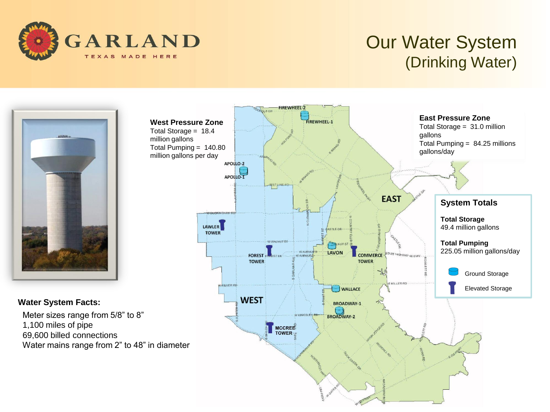

#### Our Water System (Drinking Water)



#### **Water System Facts:**

Meter sizes range from 5/8" to 8" 1,100 miles of pipe 69,600 billed connections Water mains range from 2" to 48" in diameter

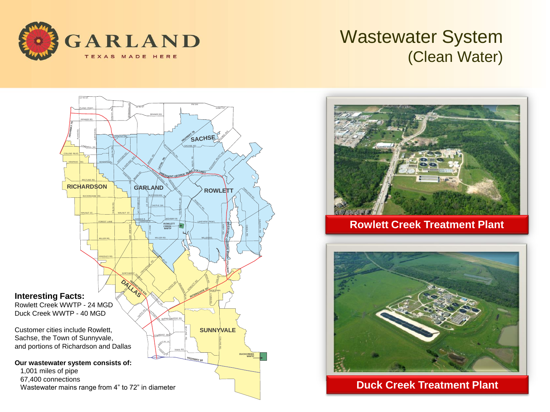

#### Wastewater System (Clean Water)





**Rowlett Creek Treatment Plant**



**Duck Creek Treatment Plant**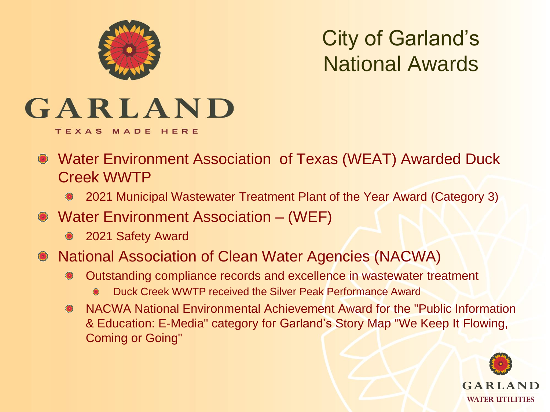

City of Garland's National Awards

# GARLAND

TEXAS MADE HERE

- Water Environment Association of Texas (WEAT) Awarded Duck Creek WWTP
	- 2021 Municipal Wastewater Treatment Plant of the Year Award (Category 3)
- Water Environment Association (WEF)
	- **2021 Safety Award**
- National Association of Clean Water Agencies (NACWA)
	- Outstanding compliance records and excellence in wastewater treatment
		- Duck Creek WWTP received the Silver Peak Performance Award
	- NACWA National Environmental Achievement Award for the "Public Information & Education: E-Media" category for Garland's Story Map "We Keep It Flowing, Coming or Going"

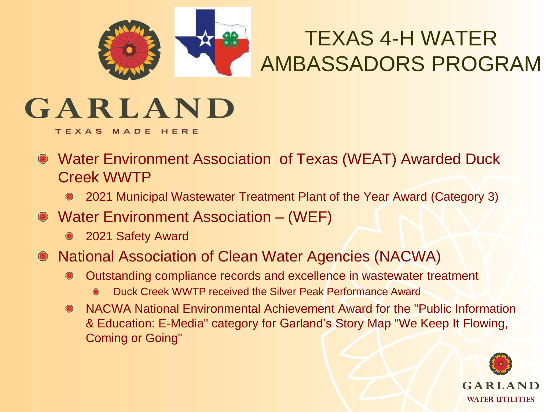

## TEXAS 4-H WATER AMBASSADORS PROGRAM

# GARLAND

TEXAS MADE HERE

- Water Environment Association of Texas (WEAT) Awarded Duck Creek WWTP
	- 2021 Municipal Wastewater Treatment Plant of the Year Award (Category 3)
- Water Environment Association (WEF)
	- 2021 Safety Award
- National Association of Clean Water Agencies (NACWA)
	- Outstanding compliance records and excellence in wastewater treatment
		- Duck Creek WWTP received the Silver Peak Performance Award
	- NACWA National Environmental Achievement Award for the "Public Information & Education: E-Media" category for Garland's Story Map "We Keep It Flowing, Coming or Going"

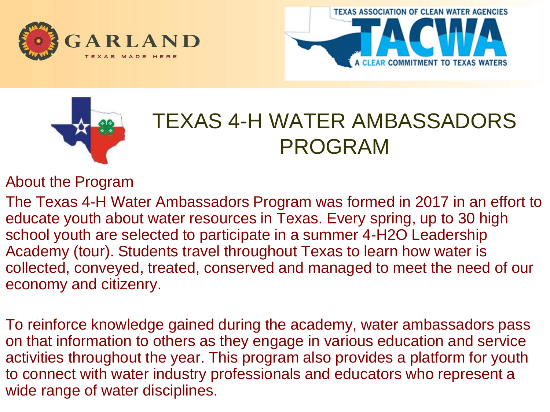





### TEXAS 4-H WATER AMBASSADORS PROGRAM

About the Program

The Texas 4-H Water Ambassadors Program was formed in 2017 in an effort to educate youth about water resources in Texas. Every spring, up to 30 high school youth are selected to participate in a summer 4-H2O Leadership Academy (tour). Students travel throughout Texas to learn how water is collected, conveyed, treated, conserved and managed to meet the need of our economy and citizenry.

To reinforce knowledge gained during the academy, water ambassadors pass on that information to others as they engage in various education and service activities throughout the year. This program also provides a platform for youth to connect with water industry professionals and educators who represent a wide range of water disciplines.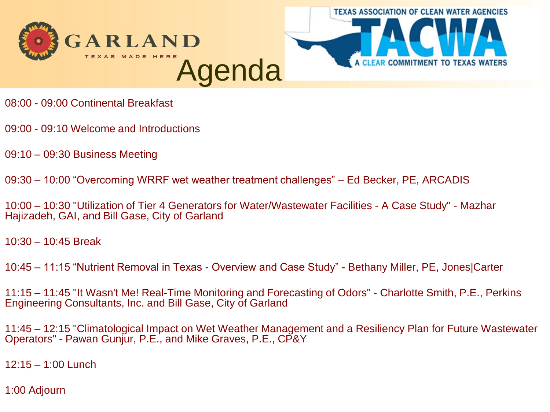



- 08:00 09:00 Continental Breakfast
- 09:00 09:10 Welcome and Introductions
- 09:10 09:30 Business Meeting
- 09:30 10:00 "Overcoming WRRF wet weather treatment challenges" Ed Becker, PE, ARCADIS
- 10:00 10:30 "Utilization of Tier 4 Generators for Water/Wastewater Facilities A Case Study" Mazhar Hajizadeh, GAI, and Bill Gase, City of Garland
- 10:30 10:45 Break
- 10:45 11:15 "Nutrient Removal in Texas Overview and Case Study" Bethany Miller, PE, Jones|Carter
- 11:15 11:45 "It Wasn't Me! Real-Time Monitoring and Forecasting of Odors" Charlotte Smith, P.E., Perkins Engineering Consultants, Inc. and Bill Gase, City of Garland
- 11:45 12:15 "Climatological Impact on Wet Weather Management and a Resiliency Plan for Future Wastewater Operators" - Pawan Gunjur, P.E., and Mike Graves, P.E., CP&Y
- 12:15 1:00 Lunch
- 1:00 Adjourn